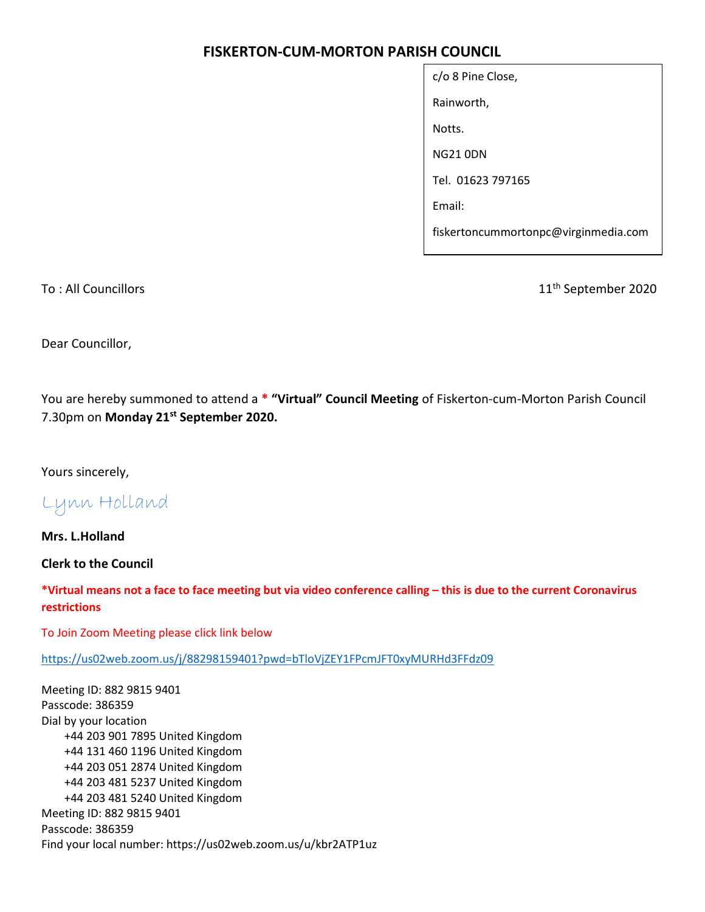# FISKERTON-CUM-MORTON PARISH COUNCIL

| c/o 8 Pine Close,                    |
|--------------------------------------|
| Rainworth,                           |
| Notts.                               |
| NG21 0DN                             |
| Tel. 01623 797165                    |
| Email:                               |
| fiskertoncummortonpc@virginmedia.com |

To : All Councillors 11<sup>th</sup> September 2020

Dear Councillor,

You are hereby summoned to attend a \* "Virtual" Council Meeting of Fiskerton-cum-Morton Parish Council 7.30pm on Monday 21<sup>st</sup> September 2020.

Yours sincerely,

Lynn Holland

Mrs. L.Holland

Clerk to the Council

\*Virtual means not a face to face meeting but via video conference calling – this is due to the current Coronavirus restrictions

To Join Zoom Meeting please click link below

https://us02web.zoom.us/j/88298159401?pwd=bTloVjZEY1FPcmJFT0xyMURHd3FFdz09

Meeting ID: 882 9815 9401 Passcode: 386359 Dial by your location +44 203 901 7895 United Kingdom +44 131 460 1196 United Kingdom +44 203 051 2874 United Kingdom +44 203 481 5237 United Kingdom +44 203 481 5240 United Kingdom Meeting ID: 882 9815 9401 Passcode: 386359 Find your local number: https://us02web.zoom.us/u/kbr2ATP1uz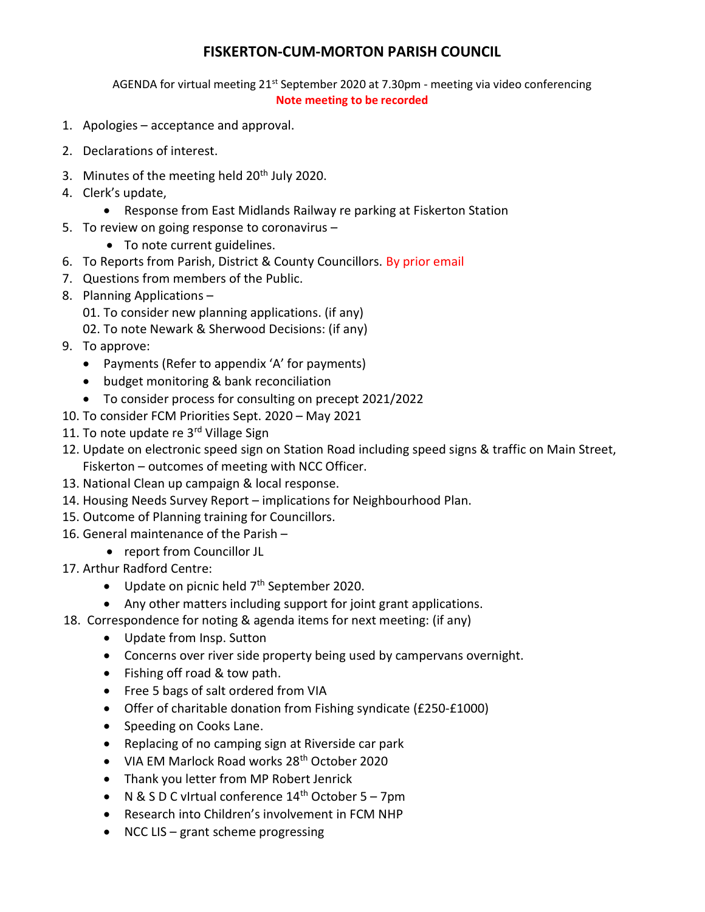## FISKERTON-CUM-MORTON PARISH COUNCIL

AGENDA for virtual meeting 21<sup>st</sup> September 2020 at 7.30pm - meeting via video conferencing Note meeting to be recorded

- 1. Apologies acceptance and approval.
- 2. Declarations of interest.
- 3. Minutes of the meeting held 20<sup>th</sup> July 2020.
- 4. Clerk's update,
	- Response from East Midlands Railway re parking at Fiskerton Station
- 5. To review on going response to coronavirus
	- To note current guidelines.
- 6. To Reports from Parish, District & County Councillors. By prior email
- 7. Questions from members of the Public.
- 8. Planning Applications
	- 01. To consider new planning applications. (if any)
	- 02. To note Newark & Sherwood Decisions: (if any)
- 9. To approve:
	- Payments (Refer to appendix 'A' for payments)
	- budget monitoring & bank reconciliation
	- To consider process for consulting on precept 2021/2022
- 10. To consider FCM Priorities Sept. 2020 May 2021
- 11. To note update re 3rd Village Sign
- 12. Update on electronic speed sign on Station Road including speed signs & traffic on Main Street, Fiskerton – outcomes of meeting with NCC Officer.
- 13. National Clean up campaign & local response.
- 14. Housing Needs Survey Report implications for Neighbourhood Plan.
- 15. Outcome of Planning training for Councillors.
- 16. General maintenance of the Parish
	- report from Councillor JL
- 17. Arthur Radford Centre:
	- $\bullet$  Update on picnic held  $7<sup>th</sup>$  September 2020.
	- Any other matters including support for joint grant applications.
- 18. Correspondence for noting & agenda items for next meeting: (if any)
	- Update from Insp. Sutton
	- Concerns over river side property being used by campervans overnight.
	- Fishing off road & tow path.
	- Free 5 bags of salt ordered from VIA
	- Offer of charitable donation from Fishing syndicate (£250-£1000)
	- Speeding on Cooks Lane.
	- Replacing of no camping sign at Riverside car park
	- VIA EM Marlock Road works 28<sup>th</sup> October 2020
	- Thank you letter from MP Robert Jenrick
	- $\bullet$  N & S D C virtual conference 14<sup>th</sup> October 5 7pm
	- Research into Children's involvement in FCM NHP
	- $\bullet$  NCC LIS grant scheme progressing